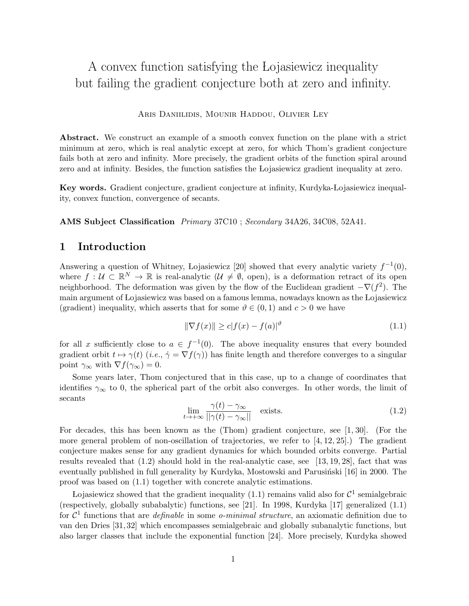# A convex function satisfying the Lojasiewicz inequality but failing the gradient conjecture both at zero and infinity.

Aris Daniilidis, Mounir Haddou, Olivier Ley

Abstract. We construct an example of a smooth convex function on the plane with a strict minimum at zero, which is real analytic except at zero, for which Thom's gradient conjecture fails both at zero and infinity. More precisely, the gradient orbits of the function spiral around zero and at infinity. Besides, the function satisfies the Lojasiewicz gradient inequality at zero.

Key words. Gradient conjecture, gradient conjecture at infinity, Kurdyka-Lojasiewicz inequality, convex function, convergence of secants.

AMS Subject Classification Primary 37C10 ; Secondary 34A26, 34C08, 52A41.

#### 1 Introduction

Answering a question of Whitney, Lojasiewicz [20] showed that every analytic variety  $f^{-1}(0)$ , where  $f: \mathcal{U} \subset \mathbb{R}^N \to \mathbb{R}$  is real-analytic  $(\mathcal{U} \neq \emptyset, \text{ open})$ , is a deformation retract of its open neighborhood. The deformation was given by the flow of the Euclidean gradient  $-\nabla(f^2)$ . The main argument of Lojasiewicz was based on a famous lemma, nowadays known as the Lojasiewicz (gradient) inequality, which asserts that for some  $\vartheta \in (0,1)$  and  $c > 0$  we have

$$
\|\nabla f(x)\| \ge c|f(x) - f(a)|^{\vartheta} \tag{1.1}
$$

for all x sufficiently close to  $a \in f^{-1}(0)$ . The above inequality ensures that every bounded gradient orbit  $t \mapsto \gamma(t)$  (i.e.,  $\dot{\gamma} = \nabla f(\gamma)$ ) has finite length and therefore converges to a singular point  $\gamma_{\infty}$  with  $\nabla f(\gamma_{\infty}) = 0$ .

Some years later, Thom conjectured that in this case, up to a change of coordinates that identifies  $\gamma_{\infty}$  to 0, the spherical part of the orbit also converges. In other words, the limit of secants

$$
\lim_{t \to +\infty} \frac{\gamma(t) - \gamma_{\infty}}{||\gamma(t) - \gamma_{\infty}||} \quad \text{exists.} \tag{1.2}
$$

For decades, this has been known as the (Thom) gradient conjecture, see [1, 30]. (For the more general problem of non-oscillation of trajectories, we refer to  $[4, 12, 25]$ .) The gradient conjecture makes sense for any gradient dynamics for which bounded orbits converge. Partial results revealed that (1.2) should hold in the real-analytic case, see [13, 19, 28], fact that was eventually published in full generality by Kurdyka, Mostowski and Parusinski [16] in 2000. The proof was based on (1.1) together with concrete analytic estimations.

Lojasiewicz showed that the gradient inequality (1.1) remains valid also for  $\mathcal{C}^1$  semialgebraic (respectively, globally subabalytic) functions, see [21]. In 1998, Kurdyka [17] generalized (1.1) for  $\mathcal{C}^1$  functions that are *definable* in some *o-minimal structure*, an axiomatic definition due to van den Dries [31, 32] which encompasses semialgebraic and globally subanalytic functions, but also larger classes that include the exponential function [24]. More precisely, Kurdyka showed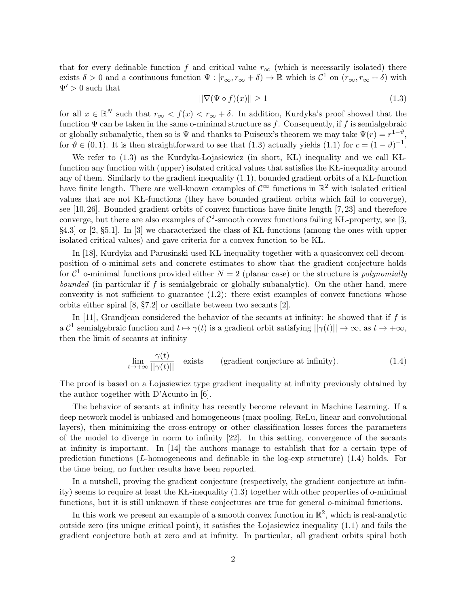that for every definable function f and critical value  $r_{\infty}$  (which is necessarily isolated) there exists  $\delta > 0$  and a continuous function  $\Psi : [r_{\infty}, r_{\infty} + \delta) \to \mathbb{R}$  which is  $\mathcal{C}^1$  on  $(r_{\infty}, r_{\infty} + \delta)$  with  $\Psi' > 0$  such that

$$
||\nabla(\Psi \circ f)(x)|| \ge 1\tag{1.3}
$$

for all  $x \in \mathbb{R}^N$  such that  $r_{\infty} < f(x) < r_{\infty} + \delta$ . In addition, Kurdyka's proof showed that the function  $\Psi$  can be taken in the same o-minimal structure as f. Consequently, if f is semialgebraic or globally subanalytic, then so is  $\Psi$  and thanks to Puiseux's theorem we may take  $\Psi(r) = r^{1-\vartheta}$ , for  $\vartheta \in (0,1)$ . It is then straightforward to see that (1.3) actually yields (1.1) for  $c = (1 - \vartheta)^{-1}$ .

We refer to  $(1.3)$  as the Kurdyka-Lojasiewicz (in short, KL) inequality and we call KLfunction any function with (upper) isolated critical values that satisfies the KL-inequality around any of them. Similarly to the gradient inequality  $(1.1)$ , bounded gradient orbits of a KL-function have finite length. There are well-known examples of  $\mathcal{C}^{\infty}$  functions in  $\mathbb{R}^2$  with isolated critical values that are not KL-functions (they have bounded gradient orbits which fail to converge), see [10, 26]. Bounded gradient orbits of convex functions have finite length [7, 23] and therefore converge, but there are also examples of  $C^2$ -smooth convex functions failing KL-property, see [3,  $\S4.3$  or [2,  $\S5.1$ ]. In [3] we characterized the class of KL-functions (among the ones with upper isolated critical values) and gave criteria for a convex function to be KL.

In [18], Kurdyka and Parusinski used KL-inequality together with a quasiconvex cell decomposition of o-minimal sets and concrete estimates to show that the gradient conjecture holds for  $\mathcal{C}^1$  o-minimal functions provided either  $N=2$  (planar case) or the structure is *polynomially bounded* (in particular if f is semialgebraic or globally subanalytic). On the other hand, mere convexity is not sufficient to guarantee  $(1.2)$ : there exist examples of convex functions whose orbits either spiral [8, §7.2] or oscillate between two secants [2].

In [11], Grandjean considered the behavior of the secants at infinity: he showed that if  $f$  is a  $\mathcal{C}^1$  semialgebraic function and  $t \mapsto \gamma(t)$  is a gradient orbit satisfying  $||\gamma(t)|| \to \infty$ , as  $t \to +\infty$ , then the limit of secants at infinity

$$
\lim_{t \to +\infty} \frac{\gamma(t)}{||\gamma(t)||} \quad \text{exists} \quad \text{(gradient conjecture at infinity)}.
$$
 (1.4)

The proof is based on a Lojasiewicz type gradient inequality at infinity previously obtained by the author together with D'Acunto in [6].

The behavior of secants at infinity has recently become relevant in Machine Learning. If a deep network model is unbiased and homogeneous (max-pooling, ReLu, linear and convolutional layers), then minimizing the cross-entropy or other classification losses forces the parameters of the model to diverge in norm to infinity [22]. In this setting, convergence of the secants at infinity is important. In [14] the authors manage to establish that for a certain type of prediction functions  $(L\text{-homogeneous}$  and definable in the log-exp structure)  $(1.4)$  holds. For the time being, no further results have been reported.

In a nutshell, proving the gradient conjecture (respectively, the gradient conjecture at infinity) seems to require at least the KL-inequality  $(1.3)$  together with other properties of o-minimal functions, but it is still unknown if these conjectures are true for general o-minimal functions.

In this work we present an example of a smooth convex function in  $\mathbb{R}^2$ , which is real-analytic outside zero (its unique critical point), it satisfies the Lojasiewicz inequality (1.1) and fails the gradient conjecture both at zero and at infinity. In particular, all gradient orbits spiral both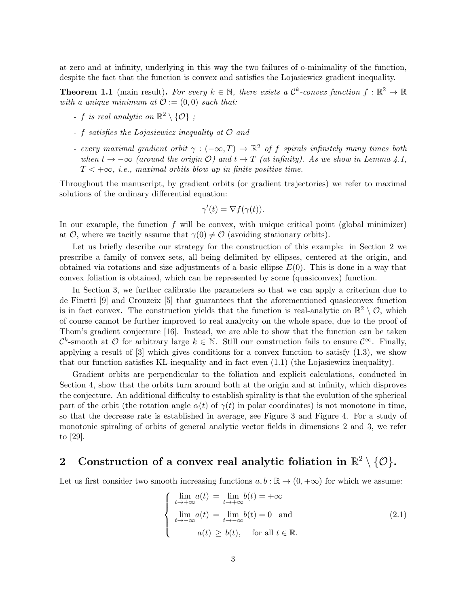at zero and at infinity, underlying in this way the two failures of o-minimality of the function, despite the fact that the function is convex and satisfies the Lojasiewicz gradient inequality.

**Theorem 1.1** (main result). For every  $k \in \mathbb{N}$ , there exists a  $\mathcal{C}^k$ -convex function  $f : \mathbb{R}^2 \to \mathbb{R}$ with a unique minimum at  $\mathcal{O} := (0,0)$  such that:

- f is real analytic on  $\mathbb{R}^2 \setminus \{ \mathcal{O} \}$ ;
- f satisfies the Lojasiewicz inequality at  $\mathcal O$  and
- every maximal gradient orbit  $\gamma : (-\infty, T) \to \mathbb{R}^2$  of f spirals infinitely many times both when  $t \to -\infty$  (around the origin O) and  $t \to T$  (at infinity). As we show in Lemma 4.1,  $T < +\infty$ , i.e., maximal orbits blow up in finite positive time.

Throughout the manuscript, by gradient orbits (or gradient trajectories) we refer to maximal solutions of the ordinary differential equation:

$$
\gamma'(t) = \nabla f(\gamma(t)).
$$

In our example, the function  $f$  will be convex, with unique critical point (global minimizer) at  $\mathcal{O}$ , where we tacitly assume that  $\gamma(0) \neq \mathcal{O}$  (avoiding stationary orbits).

Let us briefly describe our strategy for the construction of this example: in Section 2 we prescribe a family of convex sets, all being delimited by ellipses, centered at the origin, and obtained via rotations and size adjustments of a basic ellipse  $E(0)$ . This is done in a way that convex foliation is obtained, which can be represented by some (quasiconvex) function.

In Section 3, we further calibrate the parameters so that we can apply a criterium due to de Finetti [9] and Crouzeix [5] that guarantees that the aforementioned quasiconvex function is in fact convex. The construction yields that the function is real-analytic on  $\mathbb{R}^2 \setminus \mathcal{O}$ , which of course cannot be further improved to real analycity on the whole space, due to the proof of Thom's gradient conjecture [16]. Instead, we are able to show that the function can be taken  $\mathcal{C}^k$ -smooth at  $\mathcal O$  for arbitrary large  $k \in \mathbb N$ . Still our construction fails to ensure  $\mathcal{C}^\infty$ . Finally, applying a result of  $[3]$  which gives conditions for a convex function to satisfy  $(1.3)$ , we show that our function satisfies KL-inequality and in fact even  $(1.1)$  (the Lojasiewicz inequality).

Gradient orbits are perpendicular to the foliation and explicit calculations, conducted in Section 4, show that the orbits turn around both at the origin and at infinity, which disproves the conjecture. An additional difficulty to establish spirality is that the evolution of the spherical part of the orbit (the rotation angle  $\alpha(t)$  of  $\gamma(t)$  in polar coordinates) is not monotone in time, so that the decrease rate is established in average, see Figure 3 and Figure 4. For a study of monotonic spiraling of orbits of general analytic vector fields in dimensions 2 and 3, we refer to [29].

## 2 Construction of a convex real analytic foliation in  $\mathbb{R}^2 \setminus \{\mathcal{O}\}.$

Let us first consider two smooth increasing functions  $a, b : \mathbb{R} \to (0, +\infty)$  for which we assume:

$$
\begin{cases}\n\lim_{t \to +\infty} a(t) = \lim_{t \to +\infty} b(t) = +\infty \\
\lim_{t \to -\infty} a(t) = \lim_{t \to -\infty} b(t) = 0 \text{ and} \\
a(t) \ge b(t), \quad \text{for all } t \in \mathbb{R}.\n\end{cases}
$$
\n(2.1)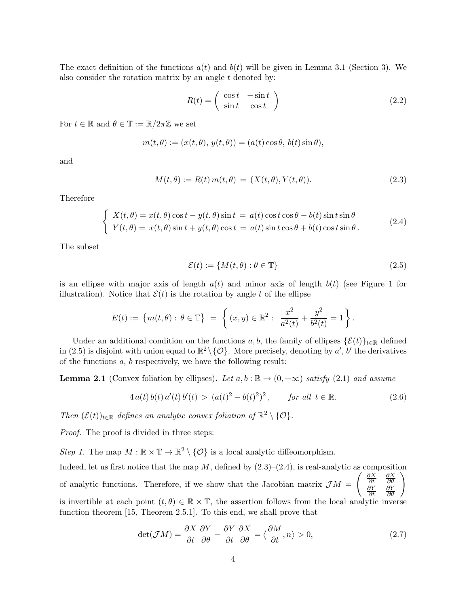The exact definition of the functions  $a(t)$  and  $b(t)$  will be given in Lemma 3.1 (Section 3). We also consider the rotation matrix by an angle  $t$  denoted by:

$$
R(t) = \begin{pmatrix} \cos t & -\sin t \\ \sin t & \cos t \end{pmatrix}
$$
 (2.2)

For  $t \in \mathbb{R}$  and  $\theta \in \mathbb{T} := \mathbb{R}/2\pi\mathbb{Z}$  we set

$$
m(t, \theta) := (x(t, \theta), y(t, \theta)) = (a(t) \cos \theta, b(t) \sin \theta),
$$

and

$$
M(t,\theta) := R(t) m(t,\theta) = (X(t,\theta), Y(t,\theta)).
$$
\n(2.3)

Therefore

$$
\begin{cases}\nX(t,\theta) = x(t,\theta)\cos t - y(t,\theta)\sin t = a(t)\cos t\cos\theta - b(t)\sin t\sin\theta \\
Y(t,\theta) = x(t,\theta)\sin t + y(t,\theta)\cos t = a(t)\sin t\cos\theta + b(t)\cos t\sin\theta.\n\end{cases}
$$
\n(2.4)

The subset

$$
\mathcal{E}(t) := \{ M(t, \theta) : \theta \in \mathbb{T} \}
$$
\n
$$
(2.5)
$$

is an ellipse with major axis of length  $a(t)$  and minor axis of length  $b(t)$  (see Figure 1 for illustration). Notice that  $\mathcal{E}(t)$  is the rotation by angle t of the ellipse

$$
E(t) := \{m(t,\theta): \theta \in \mathbb{T}\} = \left\{ (x,y) \in \mathbb{R}^2: \frac{x^2}{a^2(t)} + \frac{y^2}{b^2(t)} = 1 \right\}.
$$

Under an additional condition on the functions a, b, the family of ellipses  $\{\mathcal{E}(t)\}_{t\in\mathbb{R}}$  defined in (2.5) is disjoint with union equal to  $\mathbb{R}^2 \setminus \{ \mathcal{O} \}$ . More precisely, denoting by  $a'$ , b' the derivatives of the functions a, b respectively, we have the following result:

**Lemma 2.1** (Convex foliation by ellipses). Let  $a, b : \mathbb{R} \to (0, +\infty)$  satisfy (2.1) and assume

$$
4 a(t) b(t) a'(t) b'(t) > (a(t)^{2} - b(t)^{2})^{2}, \qquad \text{for all } t \in \mathbb{R}.
$$
 (2.6)

Then  $(\mathcal{E}(t))_{t\in\mathbb{R}}$  defines an analytic convex foliation of  $\mathbb{R}^2\setminus\{0\}.$ 

Proof. The proof is divided in three steps:

Step 1. The map  $M : \mathbb{R} \times \mathbb{T} \to \mathbb{R}^2 \setminus \{ \mathcal{O} \}$  is a local analytic diffeomorphism.

Indeed, let us first notice that the map  $M$ , defined by  $(2.3)$ – $(2.4)$ , is real-analytic as composition of analytic functions. Therefore, if we show that the Jacobian matrix  $\mathcal{J}M =$  $\int \frac{\partial X}{\partial t}$ ∂X ∂θ ∂Y ∂t ∂Y  $\begin{pmatrix} \frac{\partial X}{\partial \theta} \\ \frac{\partial Y}{\partial \theta} \end{pmatrix}$ is invertible at each point  $(t, \theta) \in \mathbb{R} \times \mathbb{T}$ , the assertion follows from the local analytic inverse function theorem [15, Theorem 2.5.1]. To this end, we shall prove that

$$
\det(\mathcal{J}M) = \frac{\partial X}{\partial t} \frac{\partial Y}{\partial \theta} - \frac{\partial Y}{\partial t} \frac{\partial X}{\partial \theta} = \langle \frac{\partial M}{\partial t}, n \rangle > 0,
$$
\n(2.7)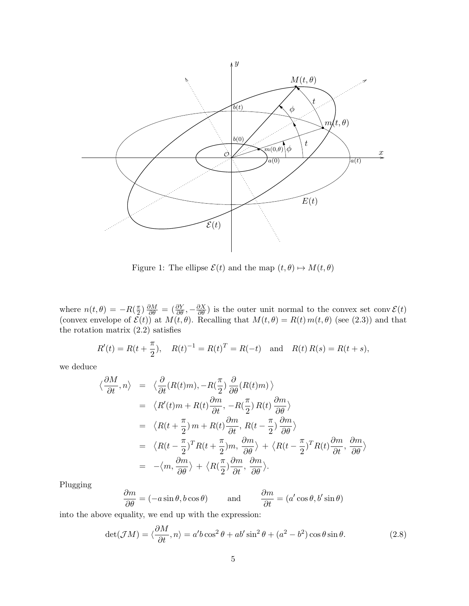

Figure 1: The ellipse  $\mathcal{E}(t)$  and the map  $(t, \theta) \mapsto M(t, \theta)$ 

where  $n(t, \theta) = -R(\frac{\pi}{2})$  $\frac{\pi}{2}$ )  $\frac{\partial M}{\partial \theta}$  =  $(\frac{\partial Y}{\partial \theta}, -\frac{\partial X}{\partial \theta})$  is the outer unit normal to the convex set conv $\mathcal{E}(t)$ (convex envelope of  $\mathcal{E}(t)$ ) at  $M(t, \theta)$ . Recalling that  $M(t, \theta) = R(t) m(t, \theta)$  (see (2.3)) and that the rotation matrix (2.2) satisfies

$$
R'(t) = R(t + \frac{\pi}{2}), \quad R(t)^{-1} = R(t)^{T} = R(-t) \text{ and } R(t) R(s) = R(t + s),
$$

we deduce

$$
\langle \frac{\partial M}{\partial t}, n \rangle = \langle \frac{\partial}{\partial t} (R(t)m), -R(\frac{\pi}{2}) \frac{\partial}{\partial \theta} (R(t)m) \rangle
$$
  
\n
$$
= \langle R'(t)m + R(t) \frac{\partial m}{\partial t}, -R(\frac{\pi}{2}) R(t) \frac{\partial m}{\partial \theta} \rangle
$$
  
\n
$$
= \langle R(t + \frac{\pi}{2}) m + R(t) \frac{\partial m}{\partial t}, R(t - \frac{\pi}{2}) \frac{\partial m}{\partial \theta} \rangle
$$
  
\n
$$
= \langle R(t - \frac{\pi}{2})^T R(t + \frac{\pi}{2}) m, \frac{\partial m}{\partial \theta} \rangle + \langle R(t - \frac{\pi}{2})^T R(t) \frac{\partial m}{\partial t}, \frac{\partial m}{\partial \theta} \rangle
$$
  
\n
$$
= -\langle m, \frac{\partial m}{\partial \theta} \rangle + \langle R(\frac{\pi}{2}) \frac{\partial m}{\partial t}, \frac{\partial m}{\partial \theta} \rangle.
$$

Plugging

$$
\frac{\partial m}{\partial \theta} = (-a\sin\theta, b\cos\theta) \quad \text{and} \quad \frac{\partial m}{\partial t} = (a'\cos\theta, b'\sin\theta)
$$

into the above equality, we end up with the expression:

$$
\det(\mathcal{J}M) = \langle \frac{\partial M}{\partial t}, n \rangle = a'b \cos^2 \theta + ab' \sin^2 \theta + (a^2 - b^2) \cos \theta \sin \theta.
$$
 (2.8)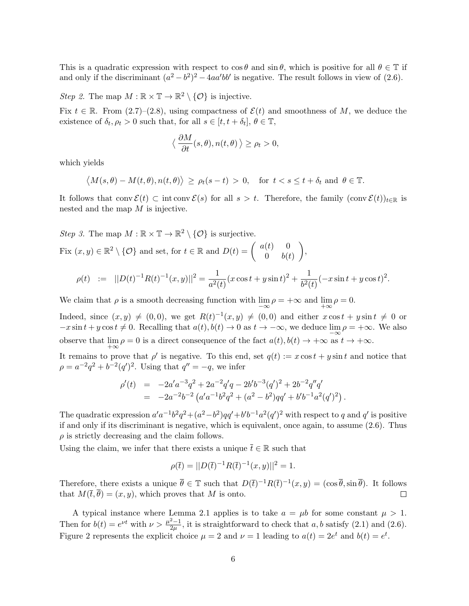This is a quadratic expression with respect to  $\cos \theta$  and  $\sin \theta$ , which is positive for all  $\theta \in \mathbb{T}$  if and only if the discriminant  $(a^2 - b^2)^2 - 4aa'bb'$  is negative. The result follows in view of (2.6).

Step 2. The map  $M : \mathbb{R} \times \mathbb{T} \to \mathbb{R}^2 \setminus \{ \mathcal{O} \}$  is injective.

Fix  $t \in \mathbb{R}$ . From (2.7)–(2.8), using compactness of  $\mathcal{E}(t)$  and smoothness of M, we deduce the existence of  $\delta_t, \rho_t > 0$  such that, for all  $s \in [t, t + \delta_t], \theta \in \mathbb{T}$ ,

$$
\langle \frac{\partial M}{\partial t}(s,\theta), n(t,\theta) \rangle \ge \rho_t > 0,
$$

which yields

$$
\langle M(s,\theta) - M(t,\theta), n(t,\theta) \rangle \ge \rho_t(s-t) > 0
$$
, for  $t < s \le t + \delta_t$  and  $\theta \in \mathbb{T}$ .

It follows that conv  $\mathcal{E}(t) \subset \text{int} \text{ conv }\mathcal{E}(s)$  for all  $s > t$ . Therefore, the family  $(\text{conv }\mathcal{E}(t))_{t \in \mathbb{R}}$  is nested and the map M is injective.

Step 3. The map  $M : \mathbb{R} \times \mathbb{T} \to \mathbb{R}^2 \setminus \{ \mathcal{O} \}$  is surjective. Fix  $(x, y) \in \mathbb{R}^2 \setminus \{ \mathcal{O} \}$  and set, for  $t \in \mathbb{R}$  and  $D(t) = \begin{pmatrix} a(t) & 0 \\ 0 & b(t) \end{pmatrix}$  $0 \quad b(t)$ 

$$
\rho(t) \quad := \quad ||D(t)^{-1}R(t)^{-1}(x,y)||^2 = \frac{1}{a^2(t)}(x\cos t + y\sin t)^2 + \frac{1}{b^2(t)}(-x\sin t + y\cos t)^2.
$$

 $\bigg),$ 

We claim that  $\rho$  is a smooth decreasing function with  $\lim_{-\infty} \rho = +\infty$  and  $\lim_{+\infty} \rho = 0$ .

Indeed, since  $(x, y) \neq (0, 0)$ , we get  $R(t)^{-1}(x, y) \neq (0, 0)$  and either  $x \cos t + y \sin t \neq 0$  or  $-x\sin t + y\cos t \neq 0$ . Recalling that  $a(t), b(t) \to 0$  as  $t \to -\infty$ , we deduce  $\lim_{t \to \infty} \rho = +\infty$ . We also observe that  $\lim_{+\infty} \rho = 0$  is a direct consequence of the fact  $a(t)$ ,  $b(t) \to +\infty$  as  $t \to +\infty$ .

It remains to prove that  $\rho'$  is negative. To this end, set  $q(t) := x \cos t + y \sin t$  and notice that  $\rho = a^{-2}q^2 + b^{-2}(q')^2$ . Using that  $q'' = -q$ , we infer

$$
\begin{array}{rcl}\n\rho'(t) & = & -2a'a^{-3}q^2 + 2a^{-2}q'q - 2b'b^{-3}(q')^2 + 2b^{-2}q''q' \\
& = & -2a^{-2}b^{-2}\left(a'a^{-1}b^2q^2 + (a^2 - b^2)qq' + b'b^{-1}a^2(q')^2\right).\n\end{array}
$$

The quadratic expression  $a'a^{-1}b^2q^2 + (a^2-b^2)qq' + b'b^{-1}a^2(q')^2$  with respect to q and q' is positive if and only if its discriminant is negative, which is equivalent, once again, to assume (2.6). Thus  $\rho$  is strictly decreasing and the claim follows.

Using the claim, we infer that there exists a unique  $\bar{t} \in \mathbb{R}$  such that

$$
\rho(\bar{t}) = ||D(\bar{t})^{-1}R(\bar{t})^{-1}(x,y)||^2 = 1.
$$

Therefore, there exists a unique  $\overline{\theta} \in \mathbb{T}$  such that  $D(\overline{t})^{-1}R(\overline{t})^{-1}(x,y) = (\cos \overline{\theta}, \sin \overline{\theta})$ . It follows that  $M(\bar{t}, \bar{\theta}) = (x, y)$ , which proves that M is onto.  $\Box$ 

A typical instance where Lemma 2.1 applies is to take  $a = \mu b$  for some constant  $\mu > 1$ . Then for  $b(t) = e^{\nu t}$  with  $\nu > \frac{\mu^2 - 1}{2\nu}$  $\frac{2-1}{2\mu}$ , it is straightforward to check that a, b satisfy (2.1) and (2.6). Figure 2 represents the explicit choice  $\mu = 2$  and  $\nu = 1$  leading to  $a(t) = 2e^t$  and  $b(t) = e^t$ .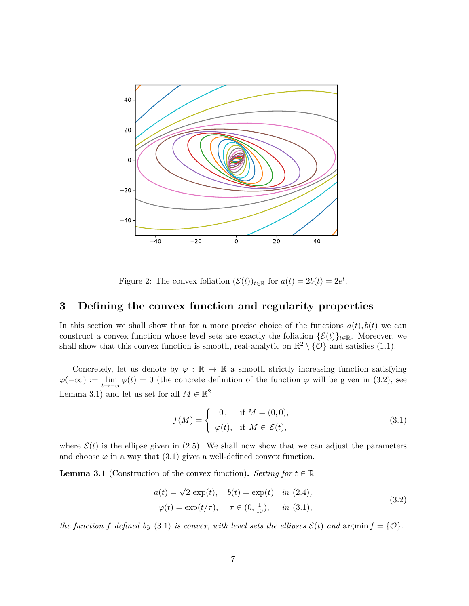

Figure 2: The convex foliation  $(\mathcal{E}(t))_{t\in\mathbb{R}}$  for  $a(t) = 2b(t) = 2e^t$ .

#### 3 Defining the convex function and regularity properties

In this section we shall show that for a more precise choice of the functions  $a(t)$ ,  $b(t)$  we can construct a convex function whose level sets are exactly the foliation  $\{\mathcal{E}(t)\}_{t\in\mathbb{R}}$ . Moreover, we shall show that this convex function is smooth, real-analytic on  $\mathbb{R}^2 \setminus \{0\}$  and satisfies (1.1).

Concretely, let us denote by  $\varphi : \mathbb{R} \to \mathbb{R}$  a smooth strictly increasing function satisfying  $\varphi(-\infty) := \lim_{t \to -\infty} \varphi(t) = 0$  (the concrete definition of the function  $\varphi$  will be given in (3.2), see Lemma 3.1) and let us set for all  $M \in \mathbb{R}^2$ 

$$
f(M) = \begin{cases} 0, & \text{if } M = (0,0), \\ \varphi(t), & \text{if } M \in \mathcal{E}(t), \end{cases}
$$
 (3.1)

where  $\mathcal{E}(t)$  is the ellipse given in (2.5). We shall now show that we can adjust the parameters and choose  $\varphi$  in a way that  $(3.1)$  gives a well-defined convex function.

**Lemma 3.1** (Construction of the convex function). Setting for  $t \in \mathbb{R}$ 

$$
a(t) = \sqrt{2} \exp(t), \quad b(t) = \exp(t) \quad in \ (2.4),
$$
  

$$
\varphi(t) = \exp(t/\tau), \quad \tau \in (0, \frac{1}{10}), \quad in \ (3.1),
$$
 (3.2)

the function f defined by (3.1) is convex, with level sets the ellipses  $\mathcal{E}(t)$  and  $\text{argmin } f = \{ \mathcal{O} \}.$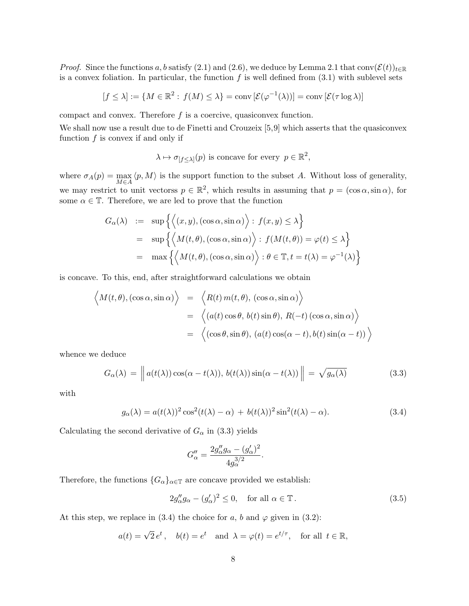*Proof.* Since the functions a, b satisfy (2.1) and (2.6), we deduce by Lemma 2.1 that conv $(\mathcal{E}(t))_{t\in\mathbb{R}}$ is a convex foliation. In particular, the function  $f$  is well defined from  $(3.1)$  with sublevel sets

$$
[f \le \lambda] := \{ M \in \mathbb{R}^2 : f(M) \le \lambda \} = \text{conv} \left[ \mathcal{E}(\varphi^{-1}(\lambda)) \right] = \text{conv} \left[ \mathcal{E}(\tau \log \lambda) \right]
$$

compact and convex. Therefore  $f$  is a coercive, quasiconvex function.

We shall now use a result due to de Finetti and Crouzeix [5,9] which asserts that the quasiconvex function  $f$  is convex if and only if

 $\lambda \mapsto \sigma_{[f \leq \lambda]}(p)$  is concave for every  $p \in \mathbb{R}^2$ ,

where  $\sigma_A(p) = \max_{M \in A} \langle p, M \rangle$  is the support function to the subset A. Without loss of generality, we may restrict to unit vectorss  $p \in \mathbb{R}^2$ , which results in assuming that  $p = (\cos \alpha, \sin \alpha)$ , for some  $\alpha \in \mathbb{T}$ . Therefore, we are led to prove that the function

$$
G_{\alpha}(\lambda) := \sup \left\{ \left\langle (x, y), (\cos \alpha, \sin \alpha) \right\rangle : f(x, y) \le \lambda \right\}
$$
  
= 
$$
\sup \left\{ \left\langle M(t, \theta), (\cos \alpha, \sin \alpha) \right\rangle : f(M(t, \theta)) = \varphi(t) \le \lambda \right\}
$$
  
= 
$$
\max \left\{ \left\langle M(t, \theta), (\cos \alpha, \sin \alpha) \right\rangle : \theta \in \mathbb{T}, t = t(\lambda) = \varphi^{-1}(\lambda) \right\}
$$

is concave. To this, end, after straightforward calculations we obtain

$$
\left\langle M(t,\theta),(\cos\alpha,\sin\alpha)\right\rangle = \left\langle R(t) m(t,\theta),(\cos\alpha,\sin\alpha)\right\rangle
$$
  
=  $\left\langle (a(t)\cos\theta, b(t)\sin\theta), R(-t)(\cos\alpha,\sin\alpha)\right\rangle$   
=  $\left\langle (\cos\theta,\sin\theta), (a(t)\cos(\alpha-t), b(t)\sin(\alpha-t))\right\rangle$ 

whence we deduce

$$
G_{\alpha}(\lambda) = \left\| a(t(\lambda)) \cos(\alpha - t(\lambda)), b(t(\lambda)) \sin(\alpha - t(\lambda)) \right\| = \sqrt{g_{\alpha}(\lambda)}
$$
(3.3)

with

$$
g_{\alpha}(\lambda) = a(t(\lambda))^2 \cos^2(t(\lambda) - \alpha) + b(t(\lambda))^2 \sin^2(t(\lambda) - \alpha).
$$
 (3.4)

.

Calculating the second derivative of  $G_{\alpha}$  in (3.3) yields

$$
G''_{\alpha} = \frac{2g''_{\alpha}g_{\alpha} - (g'_{\alpha})^2}{4g_{\alpha}^{3/2}}
$$

Therefore, the functions  ${G_{\alpha}}_{\alpha\in\mathbb{T}}$  are concave provided we establish:

$$
2g''_{\alpha}g_{\alpha} - (g'_{\alpha})^2 \le 0, \quad \text{for all } \alpha \in \mathbb{T} \,. \tag{3.5}
$$

At this step, we replace in (3.4) the choice for a, b and  $\varphi$  given in (3.2):

$$
a(t) = \sqrt{2}e^t
$$
,  $b(t) = e^t$  and  $\lambda = \varphi(t) = e^{t/\tau}$ , for all  $t \in \mathbb{R}$ ,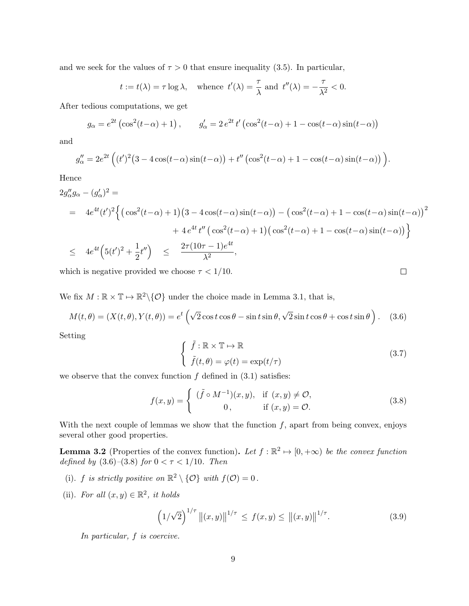and we seek for the values of  $\tau > 0$  that ensure inequality (3.5). In particular,

$$
t := t(\lambda) = \tau \log \lambda
$$
, whence  $t'(\lambda) = \frac{\tau}{\lambda}$  and  $t''(\lambda) = -\frac{\tau}{\lambda^2} < 0$ .

After tedious computations, we get

$$
g_{\alpha} = e^{2t} \left( \cos^2(t - \alpha) + 1 \right), \qquad g_{\alpha}' = 2 e^{2t} t' \left( \cos^2(t - \alpha) + 1 - \cos(t - \alpha) \sin(t - \alpha) \right)
$$

and

$$
g''_{\alpha} = 2e^{2t} \left( (t')^2 \left( 3 - 4\cos(t-\alpha)\sin(t-\alpha) \right) + t'' \left( \cos^2(t-\alpha) + 1 - \cos(t-\alpha)\sin(t-\alpha) \right) \right).
$$

Hence

$$
2g''_{\alpha}g_{\alpha} - (g'_{\alpha})^2 =
$$
  
=  $4e^{4t}(t')^2 \Big\{ \big( \cos^2(t-\alpha) + 1 \big) \big( 3 - 4\cos(t-\alpha)\sin(t-\alpha) \big) - \big( \cos^2(t-\alpha) + 1 - \cos(t-\alpha)\sin(t-\alpha) \big)^2$   
+  $4e^{4t}t'' \big( \cos^2(t-\alpha) + 1 \big) \big( \cos^2(t-\alpha) + 1 - \cos(t-\alpha)\sin(t-\alpha) \big) \Big\}$   
 $\leq 4e^{4t} \Big( 5(t')^2 + \frac{1}{2}t'' \Big) \leq \frac{2\tau(10\tau - 1)e^{4t}}{\lambda^2},$ 

which is negative provided we choose  $\tau < 1/10$ .

We fix  $M : \mathbb{R} \times \mathbb{T} \to \mathbb{R}^2 \setminus \{ \mathcal{O} \}$  under the choice made in Lemma 3.1, that is,

$$
M(t,\theta) = (X(t,\theta), Y(t,\theta)) = e^t \left( \sqrt{2} \cos t \cos \theta - \sin t \sin \theta, \sqrt{2} \sin t \cos \theta + \cos t \sin \theta \right). \tag{3.6}
$$

Setting

$$
\begin{cases} \tilde{f}: \mathbb{R} \times \mathbb{T} \mapsto \mathbb{R} \\ \tilde{f}(t,\theta) = \varphi(t) = \exp(t/\tau) \end{cases}
$$
\n(3.7)

we observe that the convex function  $f$  defined in  $(3.1)$  satisfies:

$$
f(x,y) = \begin{cases} (\tilde{f} \circ M^{-1})(x,y), & \text{if } (x,y) \neq \mathcal{O}, \\ 0, & \text{if } (x,y) = \mathcal{O}. \end{cases}
$$
 (3.8)

With the next couple of lemmas we show that the function  $f$ , apart from being convex, enjoys several other good properties.

**Lemma 3.2** (Properties of the convex function). Let  $f : \mathbb{R}^2 \to [0, +\infty)$  be the convex function defined by  $(3.6)-(3.8)$  for  $0 < \tau < 1/10$ . Then

- (i). f is strictly positive on  $\mathbb{R}^2 \setminus \{ \mathcal{O} \}$  with  $f(\mathcal{O}) = 0$ .
- (ii). For all  $(x, y) \in \mathbb{R}^2$ , it holds

$$
\left(1/\sqrt{2}\right)^{1/\tau} \left\|(x,y)\right\|^{1/\tau} \le f(x,y) \le \left\|(x,y)\right\|^{1/\tau}.
$$
 (3.9)

In particular, f is coercive.

 $\Box$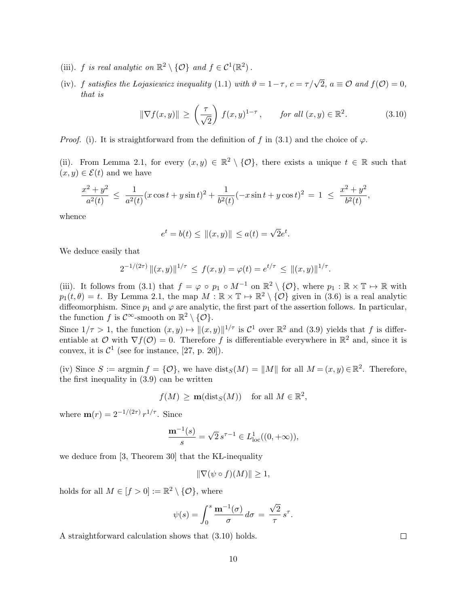- (iii). f is real analytic on  $\mathbb{R}^2 \setminus \{ \mathcal{O} \}$  and  $f \in \mathcal{C}^1(\mathbb{R}^2)$ .
- (iv). f satisfies the Lojasiewicz inequality (1.1) with  $\vartheta = 1 \tau$ ,  $c = \tau/\sqrt{2}$ ,  $a \equiv \mathcal{O}$  and  $f(\mathcal{O}) = 0$ , that is

$$
\|\nabla f(x,y)\| \ge \left(\frac{\tau}{\sqrt{2}}\right) f(x,y)^{1-\tau}, \quad \text{for all } (x,y) \in \mathbb{R}^2. \tag{3.10}
$$

*Proof.* (i). It is straightforward from the definition of f in (3.1) and the choice of  $\varphi$ .

(ii). From Lemma 2.1, for every  $(x, y) \in \mathbb{R}^2 \setminus \{0\}$ , there exists a unique  $t \in \mathbb{R}$  such that  $(x, y) \in \mathcal{E}(t)$  and we have

$$
\frac{x^2 + y^2}{a^2(t)} \le \frac{1}{a^2(t)} (x \cos t + y \sin t)^2 + \frac{1}{b^2(t)} (-x \sin t + y \cos t)^2 = 1 \le \frac{x^2 + y^2}{b^2(t)},
$$

whence

$$
e^t = b(t) \le ||(x, y)|| \le a(t) = \sqrt{2}e^t.
$$

We deduce easily that

$$
2^{-1/(2\tau)} \|(x, y)\|^{1/\tau} \le f(x, y) = \varphi(t) = e^{t/\tau} \le \|(x, y)\|^{1/\tau}.
$$

(iii). It follows from (3.1) that  $f = \varphi \circ p_1 \circ M^{-1}$  on  $\mathbb{R}^2 \setminus \{ \mathcal{O} \}$ , where  $p_1 : \mathbb{R} \times \mathbb{T} \mapsto \mathbb{R}$  with  $p_1(t, \theta) = t$ . By Lemma 2.1, the map  $M : \mathbb{R} \times \mathbb{T} \to \mathbb{R}^2 \setminus {\mathcal{O}}$  given in (3.6) is a real analytic diffeomorphism. Since  $p_1$  and  $\varphi$  are analytic, the first part of the assertion follows. In particular, the function f is  $\mathcal{C}^{\infty}$ -smooth on  $\mathbb{R}^2 \setminus \{\mathcal{O}\}.$ 

Since  $1/\tau > 1$ , the function  $(x, y) \mapsto ||(x, y)||^{1/\tau}$  is  $\mathcal{C}^1$  over  $\mathbb{R}^2$  and  $(3.9)$  yields that f is differentiable at O with  $\nabla f(\mathcal{O}) = 0$ . Therefore f is differentiable everywhere in  $\mathbb{R}^2$  and, since it is convex, it is  $\mathcal{C}^1$  (see for instance, [27, p. 20]).

(iv) Since  $S := \operatorname{argmin} f = \{ \mathcal{O} \}$ , we have  $\operatorname{dist}_S(M) = ||M||$  for all  $M = (x, y) \in \mathbb{R}^2$ . Therefore, the first inequality in (3.9) can be written

$$
f(M) \geq \mathbf{m}(\text{dist}_S(M))
$$
 for all  $M \in \mathbb{R}^2$ ,

where  $\mathbf{m}(r) = 2^{-1/(2\tau)} r^{1/\tau}$ . Since

$$
\frac{\mathbf{m}^{-1}(s)}{s} = \sqrt{2} s^{\tau - 1} \in L_{\text{loc}}^1((0, +\infty)),
$$

we deduce from  $[3,$  Theorem 30 that the KL-inequality

$$
\|\nabla(\psi \circ f)(M)\| \ge 1,
$$

holds for all  $M \in [f > 0] := \mathbb{R}^2 \setminus \{ \mathcal{O} \}$ , where

$$
\psi(s) = \int_0^s \frac{\mathbf{m}^{-1}(\sigma)}{\sigma} d\sigma = \frac{\sqrt{2}}{\tau} s^{\tau}.
$$

A straightforward calculation shows that (3.10) holds.

 $\Box$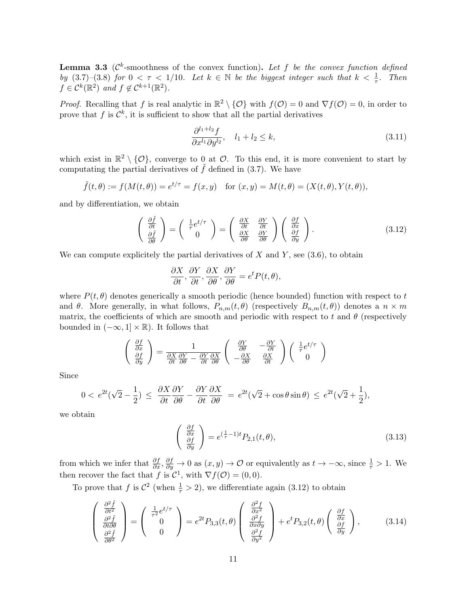**Lemma 3.3** ( $\mathcal{C}^k$ -smoothness of the convex function). Let f be the convex function defined by  $(3.7)-(3.8)$  for  $0 < \tau < 1/10$ . Let  $k \in \mathbb{N}$  be the biggest integer such that  $k < \frac{1}{\tau}$ . Then  $f \in C^k(\mathbb{R}^2)$  and  $f \notin C^{k+1}(\mathbb{R}^2)$ .

*Proof.* Recalling that f is real analytic in  $\mathbb{R}^2 \setminus \{0\}$  with  $f(0) = 0$  and  $\nabla f(0) = 0$ , in order to prove that f is  $\mathcal{C}^k$ , it is sufficient to show that all the partial derivatives

$$
\frac{\partial^{l_1+l_2} f}{\partial x^{l_1} \partial y^{l_2}}, \quad l_1 + l_2 \le k,\tag{3.11}
$$

which exist in  $\mathbb{R}^2 \setminus \{0\}$ , converge to 0 at  $\mathcal{O}$ . To this end, it is more convenient to start by computating the partial derivatives of  $\tilde{f}$  defined in (3.7). We have

$$
\tilde{f}(t, \theta) := f(M(t, \theta)) = e^{t/\tau} = f(x, y)
$$
 for  $(x, y) = M(t, \theta) = (X(t, \theta), Y(t, \theta)),$ 

and by differentiation, we obtain

$$
\begin{pmatrix}\n\frac{\partial \tilde{f}}{\partial t} \\
\frac{\partial \tilde{f}}{\partial \theta}\n\end{pmatrix} = \begin{pmatrix}\n\frac{1}{\tau} e^{t/\tau} \\
0\n\end{pmatrix} = \begin{pmatrix}\n\frac{\partial X}{\partial t} & \frac{\partial Y}{\partial t} \\
\frac{\partial X}{\partial \theta} & \frac{\partial Y}{\partial \theta}\n\end{pmatrix} \begin{pmatrix}\n\frac{\partial f}{\partial x} \\
\frac{\partial f}{\partial y}\n\end{pmatrix}.
$$
\n(3.12)

We can compute explicitely the partial derivatives of  $X$  and  $Y$ , see (3.6), to obtain

$$
\frac{\partial X}{\partial t}, \frac{\partial Y}{\partial t}, \frac{\partial X}{\partial \theta}, \frac{\partial Y}{\partial \theta} = e^t P(t, \theta),
$$

where  $P(t, \theta)$  denotes generically a smooth periodic (hence bounded) function with respect to t and  $\theta$ . More generally, in what follows,  $P_{n,m}(t,\theta)$  (respectively  $B_{n,m}(t,\theta)$ ) denotes a  $n \times m$ matrix, the coefficients of which are smooth and periodic with respect to t and  $\theta$  (respectively bounded in  $(-\infty, 1] \times \mathbb{R}$ ). It follows that

$$
\begin{pmatrix}\n\frac{\partial f}{\partial x} \\
\frac{\partial f}{\partial y}\n\end{pmatrix} = \frac{1}{\frac{\partial X}{\partial t} \frac{\partial Y}{\partial \theta} - \frac{\partial Y}{\partial t} \frac{\partial X}{\partial \theta}} \begin{pmatrix}\n\frac{\partial Y}{\partial \theta} & -\frac{\partial Y}{\partial t} \\
-\frac{\partial X}{\partial \theta} & \frac{\partial X}{\partial t}\n\end{pmatrix} \begin{pmatrix}\n\frac{1}{\tau} e^{t/\tau} \\
0\n\end{pmatrix}
$$

Since

$$
0 < e^{2t}(\sqrt{2} - \frac{1}{2}) \le \frac{\partial X}{\partial t} \frac{\partial Y}{\partial \theta} - \frac{\partial Y}{\partial t} \frac{\partial X}{\partial \theta} = e^{2t}(\sqrt{2} + \cos \theta \sin \theta) \le e^{2t}(\sqrt{2} + \frac{1}{2}),
$$

we obtain

$$
\begin{pmatrix}\n\frac{\partial f}{\partial x} \\
\frac{\partial f}{\partial y}\n\end{pmatrix} = e^{\left(\frac{1}{\tau} - 1\right)t} P_{2,1}(t, \theta),\n\tag{3.13}
$$

from which we infer that  $\frac{\partial f}{\partial x}$ ,  $\frac{\partial f}{\partial y}$  → 0 as  $(x, y)$  → 0 or equivalently as  $t \to -\infty$ , since  $\frac{1}{\tau} > 1$ . We then recover the fact that f is  $\mathcal{C}^1$ , with  $\nabla f(\mathcal{O}) = (0,0)$ .

To prove that f is  $\mathcal{C}^2$  (when  $\frac{1}{\tau} > 2$ ), we differentiate again (3.12) to obtain

$$
\begin{pmatrix}\n\frac{\partial^2 \tilde{f}}{\partial t^2} \\
\frac{\partial^2 \tilde{f}}{\partial t \partial \theta} \\
\frac{\partial^2 \tilde{f}}{\partial \theta^2}\n\end{pmatrix} = \begin{pmatrix}\n\frac{1}{\tau^2} e^{t/\tau} \\
0 \\
0\n\end{pmatrix} = e^{2t} P_{3,3}(t, \theta) \begin{pmatrix}\n\frac{\partial^2 f}{\partial x^2} \\
\frac{\partial^2 f}{\partial x \partial y} \\
\frac{\partial^2 f}{\partial y^2}\n\end{pmatrix} + e^t P_{3,2}(t, \theta) \begin{pmatrix}\n\frac{\partial f}{\partial x} \\
\frac{\partial f}{\partial y}\n\end{pmatrix},
$$
\n(3.14)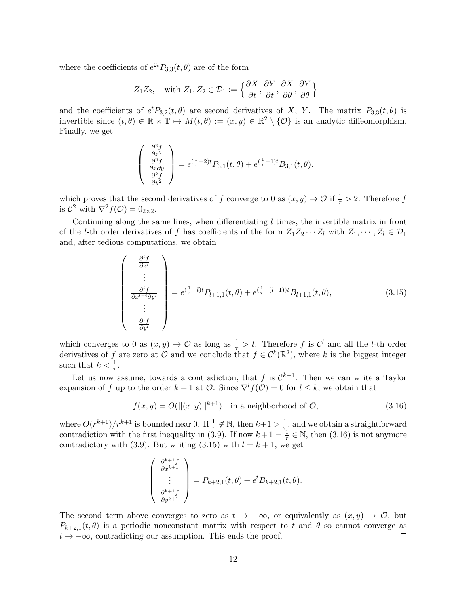where the coefficients of  $e^{2t}P_{3,3}(t, \theta)$  are of the form

$$
Z_1 Z_2
$$
, with  $Z_1, Z_2 \in \mathcal{D}_1 := \left\{ \frac{\partial X}{\partial t}, \frac{\partial Y}{\partial t}, \frac{\partial X}{\partial \theta}, \frac{\partial Y}{\partial \theta} \right\}$ 

and the coefficients of  $e^t P_{3,2}(t, \theta)$  are second derivatives of X, Y. The matrix  $P_{3,3}(t, \theta)$  is invertible since  $(t, \theta) \in \mathbb{R} \times \mathbb{T} \mapsto M(t, \theta) := (x, y) \in \mathbb{R}^2 \setminus \{ \mathcal{O} \}$  is an analytic diffeomorphism. Finally, we get

$$
\begin{pmatrix}\n\frac{\partial^2 f}{\partial x^2} \\
\frac{\partial^2 f}{\partial x \partial y} \\
\frac{\partial^2 f}{\partial y^2}\n\end{pmatrix} = e^{(\frac{1}{\tau} - 2)t} P_{3,1}(t, \theta) + e^{(\frac{1}{\tau} - 1)t} B_{3,1}(t, \theta),
$$

which proves that the second derivatives of f converge to 0 as  $(x, y) \to \mathcal{O}$  if  $\frac{1}{\tau} > 2$ . Therefore f is  $\mathcal{C}^2$  with  $\nabla^2 f(\mathcal{O}) = 0_{2 \times 2}$ .

Continuing along the same lines, when differentiating  $l$  times, the invertible matrix in front of the *l*-th order derivatives of f has coefficients of the form  $Z_1Z_2 \cdots Z_l$  with  $Z_1, \cdots, Z_l \in \mathcal{D}_1$ and, after tedious computations, we obtain

$$
\begin{pmatrix}\n\frac{\partial^l f}{\partial x^l} \\
\vdots \\
\frac{\partial^l f}{\partial x^{l-i} \partial y^i} \\
\vdots \\
\frac{\partial^l f}{\partial y^l}\n\end{pmatrix} = e^{(\frac{1}{\tau} - l)t} P_{l+1,1}(t, \theta) + e^{(\frac{1}{\tau} - (l-1))t} B_{l+1,1}(t, \theta),
$$
\n(3.15)

which converges to 0 as  $(x, y) \to \mathcal{O}$  as long as  $\frac{1}{\tau} > l$ . Therefore f is  $\mathcal{C}^l$  and all the *l*-th order derivatives of f are zero at O and we conclude that  $f \in C^k(\mathbb{R}^2)$ , where k is the biggest integer such that  $k < \frac{1}{\tau}$ .

Let us now assume, towards a contradiction, that f is  $\mathcal{C}^{k+1}$ . Then we can write a Taylor expansion of f up to the order  $k + 1$  at  $\mathcal{O}$ . Since  $\nabla^{l} f(\mathcal{O}) = 0$  for  $l \leq k$ , we obtain that

$$
f(x,y) = O(||(x,y)||^{k+1}) \quad \text{in a neighborhood of } \mathcal{O}, \tag{3.16}
$$

where  $O(r^{k+1})/r^{k+1}$  is bounded near 0. If  $\frac{1}{\tau} \notin \mathbb{N}$ , then  $k+1 > \frac{1}{\tau}$  $\frac{1}{\tau}$ , and we obtain a straightforward contradiction with the first inequality in (3.9). If now  $k+1=\frac{1}{\tau}\in\mathbb{N}$ , then (3.16) is not anymore contradictory with (3.9). But writing (3.15) with  $l = k + 1$ , we get

$$
\begin{pmatrix}\n\frac{\partial^{k+1} f}{\partial x^{k+1}} \\
\vdots \\
\frac{\partial^{k+1} f}{\partial y^{k+1}}\n\end{pmatrix} = P_{k+2,1}(t, \theta) + e^t B_{k+2,1}(t, \theta).
$$

The second term above converges to zero as  $t \to -\infty$ , or equivalently as  $(x, y) \to \mathcal{O}$ , but  $P_{k+2,1}(t, \theta)$  is a periodic nonconstant matrix with respect to t and  $\theta$  so cannot converge as  $t \to -\infty$ , contradicting our assumption. This ends the proof.  $\Box$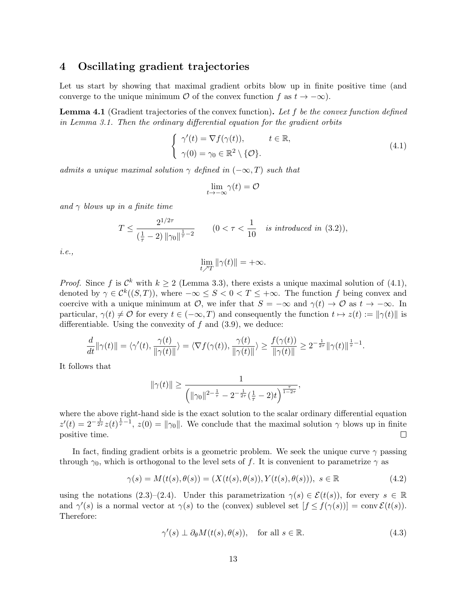#### 4 Oscillating gradient trajectories

Let us start by showing that maximal gradient orbits blow up in finite positive time (and converge to the unique minimum  $\mathcal O$  of the convex function f as  $t \to -\infty$ ).

**Lemma 4.1** (Gradient trajectories of the convex function). Let f be the convex function defined in Lemma 3.1. Then the ordinary differential equation for the gradient orbits

$$
\begin{cases}\n\gamma'(t) = \nabla f(\gamma(t)), & t \in \mathbb{R}, \\
\gamma(0) = \gamma_0 \in \mathbb{R}^2 \setminus \{ \mathcal{O} \}.\n\end{cases}
$$
\n(4.1)

admits a unique maximal solution  $\gamma$  defined in  $(-\infty, T)$  such that

$$
\lim_{t \to -\infty} \gamma(t) = \mathcal{O}
$$

and  $\gamma$  blows up in a finite time

$$
T \le \frac{2^{1/2\tau}}{\left(\frac{1}{\tau} - 2\right) \|\gamma_0\|^{\frac{1}{\tau} - 2}} \qquad (0 < \tau < \frac{1}{10} \quad \text{is introduced in (3.2))},
$$

i.e.,

$$
\lim_{t \nearrow T} \|\gamma(t)\| = +\infty.
$$

*Proof.* Since f is  $\mathcal{C}^k$  with  $k \geq 2$  (Lemma 3.3), there exists a unique maximal solution of (4.1), denoted by  $\gamma \in C^k((S,T))$ , where  $-\infty \leq S < 0 < T \leq +\infty$ . The function f being convex and coercive with a unique minimum at  $\mathcal{O}$ , we infer that  $S = -\infty$  and  $\gamma(t) \to \mathcal{O}$  as  $t \to -\infty$ . In particular,  $\gamma(t) \neq \mathcal{O}$  for every  $t \in (-\infty, T)$  and consequently the function  $t \mapsto z(t) := ||\gamma(t)||$  is differentiable. Using the convexity of  $f$  and  $(3.9)$ , we deduce:

$$
\frac{d}{dt}\|\gamma(t)\|=\langle\gamma'(t),\frac{\gamma(t)}{\|\gamma(t)\|}\rangle=\langle\nabla f(\gamma(t)),\frac{\gamma(t)}{\|\gamma(t)\|}\rangle\geq\frac{f(\gamma(t))}{\|\gamma(t)\|}\geq2^{-\frac{1}{2\tau}}\|\gamma(t)\|^{\frac{1}{\tau}-1}.
$$

It follows that

$$
\|\gamma(t)\| \ge \frac{1}{\left(\|\gamma_0\|^{2-\frac{1}{\tau}} - 2^{-\frac{1}{2\tau}}(\frac{1}{\tau} - 2)t\right)^{\frac{\tau}{1-2\tau}}},
$$

where the above right-hand side is the exact solution to the scalar ordinary differential equation  $z'(t) = 2^{-\frac{1}{2\tau}}z(t)^{\frac{1}{\tau}-1}$ ,  $z(0) = ||\gamma_0||$ . We conclude that the maximal solution  $\gamma$  blows up in finite positive time.  $\Box$ 

In fact, finding gradient orbits is a geometric problem. We seek the unique curve  $\gamma$  passing through  $\gamma_0$ , which is orthogonal to the level sets of f. It is convenient to parametrize  $\gamma$  as

$$
\gamma(s) = M(t(s), \theta(s)) = (X(t(s), \theta(s)), Y(t(s), \theta(s))), \ s \in \mathbb{R}
$$
\n(4.2)

using the notations (2.3)–(2.4). Under this parametrization  $\gamma(s) \in \mathcal{E}(t(s))$ , for every  $s \in \mathbb{R}$ and  $\gamma'(s)$  is a normal vector at  $\gamma(s)$  to the (convex) sublevel set  $[f \leq f(\gamma(s))] = \text{conv }\mathcal{E}(t(s))$ . Therefore:

$$
\gamma'(s) \perp \partial_{\theta} M(t(s), \theta(s)), \quad \text{for all } s \in \mathbb{R}.
$$
 (4.3)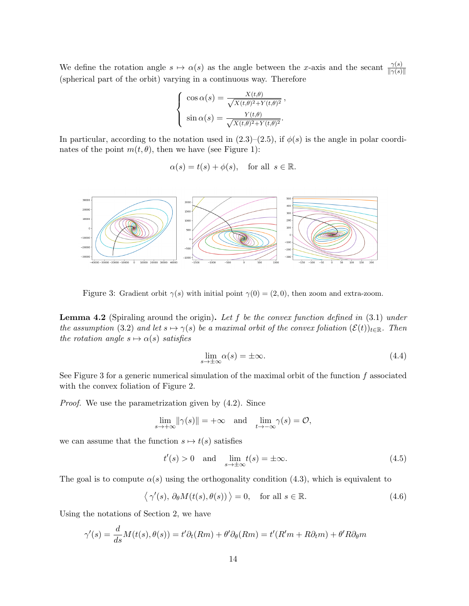We define the rotation angle  $s \mapsto \alpha(s)$  as the angle between the x-axis and the secant  $\frac{\gamma(s)}{\|\gamma(s)\|}$ (spherical part of the orbit) varying in a continuous way. Therefore

$$
\begin{cases}\n\cos \alpha(s) = \frac{X(t,\theta)}{\sqrt{X(t,\theta)^2 + Y(t,\theta)^2}}, \\
\sin \alpha(s) = \frac{Y(t,\theta)}{\sqrt{X(t,\theta)^2 + Y(t,\theta)^2}}.\n\end{cases}
$$

In particular, according to the notation used in  $(2.3)$ – $(2.5)$ , if  $\phi(s)$  is the angle in polar coordinates of the point  $m(t, \theta)$ , then we have (see Figure 1):

$$
\alpha(s) = t(s) + \phi(s)
$$
, for all  $s \in \mathbb{R}$ .



Figure 3: Gradient orbit  $\gamma(s)$  with initial point  $\gamma(0) = (2, 0)$ , then zoom and extra-zoom.

**Lemma 4.2** (Spiraling around the origin). Let f be the convex function defined in  $(3.1)$  under the assumption (3.2) and let  $s \mapsto \gamma(s)$  be a maximal orbit of the convex foliation  $(\mathcal{E}(t))_{t\in\mathbb{R}}$ . Then the rotation angle  $s \mapsto \alpha(s)$  satisfies

$$
\lim_{s \to \pm \infty} \alpha(s) = \pm \infty. \tag{4.4}
$$

See Figure 3 for a generic numerical simulation of the maximal orbit of the function  $f$  associated with the convex foliation of Figure 2.

Proof. We use the parametrization given by (4.2). Since

$$
\lim_{s \to +\infty} ||\gamma(s)|| = +\infty \quad \text{and} \quad \lim_{t \to -\infty} \gamma(s) = \mathcal{O},
$$

we can assume that the function  $s \mapsto t(s)$  satisfies

$$
t'(s) > 0 \quad \text{and} \quad \lim_{s \to \pm \infty} t(s) = \pm \infty. \tag{4.5}
$$

The goal is to compute  $\alpha(s)$  using the orthogonality condition (4.3), which is equivalent to

$$
\langle \gamma'(s), \partial_{\theta} M(t(s), \theta(s)) \rangle = 0, \text{ for all } s \in \mathbb{R}.
$$
 (4.6)

Using the notations of Section 2, we have

$$
\gamma'(s) = \frac{d}{ds}M(t(s), \theta(s)) = t'\partial_t(Rm) + \theta'\partial_\theta(Rm) = t'(R'm + R\partial_t m) + \theta'R\partial_\theta m
$$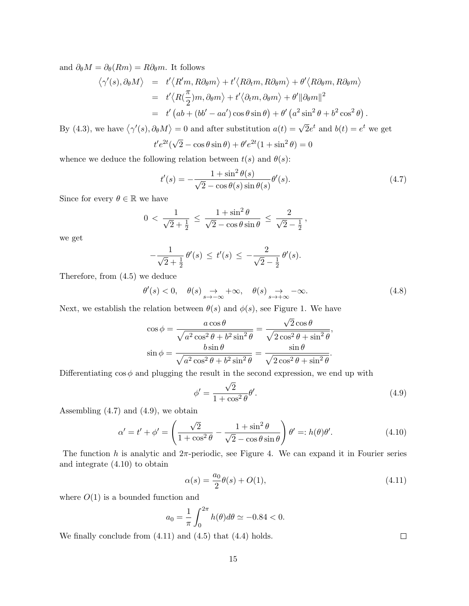and  $\partial_{\theta}M = \partial_{\theta}(Rm) = R\partial_{\theta}m$ . It follows

$$
\langle \gamma'(s), \partial_{\theta} M \rangle = t' \langle R'm, R\partial_{\theta} m \rangle + t' \langle R\partial_{t} m, R\partial_{\theta} m \rangle + \theta' \langle R\partial_{\theta} m, R\partial_{\theta} m \rangle
$$
  
=  $t' \langle R(\frac{\pi}{2})m, \partial_{\theta} m \rangle + t' \langle \partial_{t} m, \partial_{\theta} m \rangle + \theta' ||\partial_{\theta} m||^{2}$   
=  $t' (ab + (bb' - aa') \cos \theta \sin \theta) + \theta' (a^{2} \sin^{2} \theta + b^{2} \cos^{2} \theta).$ 

By (4.3), we have  $\langle \gamma'(s), \partial_{\theta} M \rangle = 0$  and after substitution  $a(t) = \sqrt{2}e^t$  and  $b(t) = e^t$  we get

$$
t'e^{2t}(\sqrt{2} - \cos\theta\sin\theta) + \theta'e^{2t}(1+\sin^2\theta) = 0
$$

whence we deduce the following relation between  $t(s)$  and  $\theta(s)$ :

$$
t'(s) = -\frac{1+\sin^2\theta(s)}{\sqrt{2}-\cos\theta(s)\sin\theta(s)}\theta'(s).
$$
\n(4.7)

Since for every  $\theta \in \mathbb{R}$  we have

$$
0 < \frac{1}{\sqrt{2} + \frac{1}{2}} \le \frac{1 + \sin^2 \theta}{\sqrt{2} - \cos \theta \sin \theta} \le \frac{2}{\sqrt{2} - \frac{1}{2}},
$$

we get

$$
-\frac{1}{\sqrt{2}+ \frac{1}{2}} \theta'(s) \leq t'(s) \leq -\frac{2}{\sqrt{2} - \frac{1}{2}} \theta'(s).
$$

Therefore, from (4.5) we deduce

$$
\theta'(s) < 0, \quad \theta(s) \underset{s \to -\infty}{\to} +\infty, \quad \theta(s) \underset{s \to +\infty}{\to} -\infty. \tag{4.8}
$$

Next, we establish the relation between  $\theta(s)$  and  $\phi(s)$ , see Figure 1. We have

$$
\cos \phi = \frac{a \cos \theta}{\sqrt{a^2 \cos^2 \theta + b^2 \sin^2 \theta}} = \frac{\sqrt{2} \cos \theta}{\sqrt{2 \cos^2 \theta + \sin^2 \theta}},
$$

$$
\sin \phi = \frac{b \sin \theta}{\sqrt{a^2 \cos^2 \theta + b^2 \sin^2 \theta}} = \frac{\sin \theta}{\sqrt{2 \cos^2 \theta + \sin^2 \theta}}.
$$

Differentiating  $\cos \phi$  and plugging the result in the second expression, we end up with

$$
\phi' = \frac{\sqrt{2}}{1 + \cos^2 \theta} \theta'.\tag{4.9}
$$

Assembling  $(4.7)$  and  $(4.9)$ , we obtain

$$
\alpha' = t' + \phi' = \left(\frac{\sqrt{2}}{1 + \cos^2 \theta} - \frac{1 + \sin^2 \theta}{\sqrt{2} - \cos \theta \sin \theta}\right) \theta' =: h(\theta)\theta'.
$$
 (4.10)

The function h is analytic and  $2\pi$ -periodic, see Figure 4. We can expand it in Fourier series and integrate (4.10) to obtain

$$
\alpha(s) = \frac{a_0}{2}\theta(s) + O(1),\tag{4.11}
$$

where  $O(1)$  is a bounded function and

$$
a_0 = \frac{1}{\pi} \int_0^{2\pi} h(\theta) d\theta \simeq -0.84 < 0.
$$

We finally conclude from (4.11) and (4.5) that (4.4) holds.

 $\Box$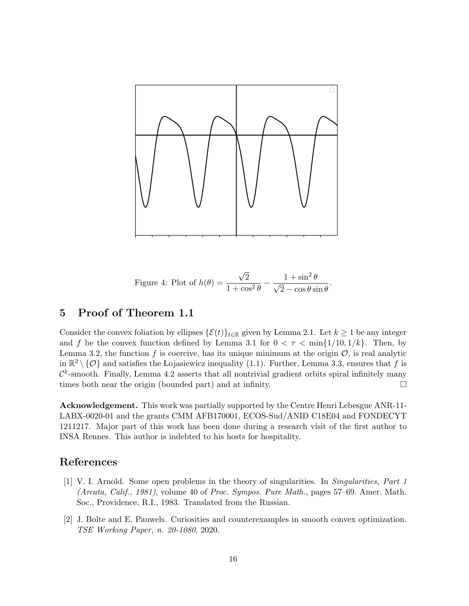

Figure 4: Plot of  $h(\theta) =$ √ 2  $\frac{\sqrt{2}}{1+\cos^2\theta}-\frac{1+\sin^2\theta}{\sqrt{2}-\cos\theta\sin\theta}$  $2-\cos\theta\sin\theta$ 

.

### 5 Proof of Theorem 1.1

Consider the convex foliation by ellipses  $\{\mathcal{E}(t)\}_{t\in\mathbb{R}}$  given by Lemma 2.1. Let  $k \geq 1$  be any integer and f be the convex function defined by Lemma 3.1 for  $0 < \tau < \min\{1/10, 1/k\}$ . Then, by Lemma 3.2, the function  $f$  is coercive, has its unique minimum at the origin  $\mathcal{O}$ , is real analytic in  $\mathbb{R}^2 \setminus \{ \mathcal{O} \}$  and satisfies the Lojasiewicz inequality (1.1). Further, Lemma 3.3, ensures that f is  $\mathcal{C}^k$ -smooth. Finally, Lemma 4.2 asserts that all nontrivial gradient orbits spiral infinitely many times both near the origin (bounded part) and at infinity.

Acknowledgement. This work was partially supported by the Centre Henri Lebesgue ANR-11- LABX-0020-01 and the grants CMM AFB170001, ECOS-Sud/ANID C18E04 and FONDECYT 1211217. Major part of this work has been done during a research visit of the first author to INSA Rennes. This author is indebted to his hosts for hospitality.

#### References

- [1] V. I. Arnold. Some open problems in the theory of singularities. In Singularities, Part 1 (Arcata, Calif., 1981), volume 40 of Proc. Sympos. Pure Math., pages 57–69. Amer. Math. Soc., Providence, R.I., 1983. Translated from the Russian.
- [2] J. Bolte and E. Pauwels. Curiosities and counterexamples in smooth convex optimization. TSE Working Paper, n. 20-1080, 2020.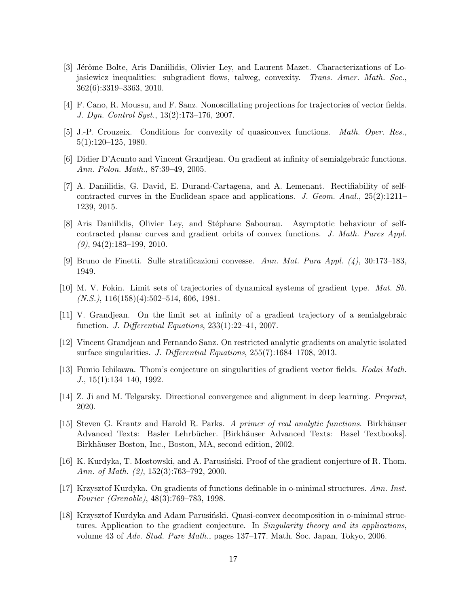- [3] Jérôme Bolte, Aris Daniilidis, Olivier Ley, and Laurent Mazet. Characterizations of Lojasiewicz inequalities: subgradient flows, talweg, convexity. Trans. Amer. Math. Soc., 362(6):3319–3363, 2010.
- [4] F. Cano, R. Moussu, and F. Sanz. Nonoscillating projections for trajectories of vector fields. J. Dyn. Control Syst., 13(2):173–176, 2007.
- [5] J.-P. Crouzeix. Conditions for convexity of quasiconvex functions. Math. Oper. Res., 5(1):120–125, 1980.
- [6] Didier D'Acunto and Vincent Grandjean. On gradient at infinity of semialgebraic functions. Ann. Polon. Math., 87:39–49, 2005.
- [7] A. Daniilidis, G. David, E. Durand-Cartagena, and A. Lemenant. Rectifiability of selfcontracted curves in the Euclidean space and applications. J. Geom. Anal.,  $25(2):1211-$ 1239, 2015.
- [8] Aris Daniilidis, Olivier Ley, and St´ephane Sabourau. Asymptotic behaviour of selfcontracted planar curves and gradient orbits of convex functions. J. Math. Pures Appl.  $(9)$ , 94 $(2)$ :183-199, 2010.
- [9] Bruno de Finetti. Sulle stratificazioni convesse. Ann. Mat. Pura Appl. (4), 30:173–183, 1949.
- [10] M. V. Fokin. Limit sets of trajectories of dynamical systems of gradient type. Mat. Sb.  $(N.S.), 116(158)(4):502-514, 606, 1981.$
- [11] V. Grandjean. On the limit set at infinity of a gradient trajectory of a semialgebraic function. J. Differential Equations,  $233(1):22-41$ ,  $2007$ .
- [12] Vincent Grandjean and Fernando Sanz. On restricted analytic gradients on analytic isolated surface singularities. J. Differential Equations, 255(7):1684-1708, 2013.
- [13] Fumio Ichikawa. Thom's conjecture on singularities of gradient vector fields. Kodai Math.  $J., 15(1):134-140, 1992.$
- [14] Z. Ji and M. Telgarsky. Directional convergence and alignment in deep learning. Preprint, 2020.
- [15] Steven G. Krantz and Harold R. Parks. A primer of real analytic functions. Birkhäuser Advanced Texts: Basler Lehrbücher. [Birkhäuser Advanced Texts: Basel Textbooks]. Birkhäuser Boston, Inc., Boston, MA, second edition, 2002.
- [16] K. Kurdyka, T. Mostowski, and A. Parusiński. Proof of the gradient conjecture of R. Thom. Ann. of Math. (2), 152(3):763–792, 2000.
- [17] Krzysztof Kurdyka. On gradients of functions definable in o-minimal structures. Ann. Inst. Fourier (Grenoble), 48(3):769–783, 1998.
- [18] Krzysztof Kurdyka and Adam Parusiński. Quasi-convex decomposition in o-minimal structures. Application to the gradient conjecture. In *Singularity theory and its applications*, volume 43 of Adv. Stud. Pure Math., pages 137–177. Math. Soc. Japan, Tokyo, 2006.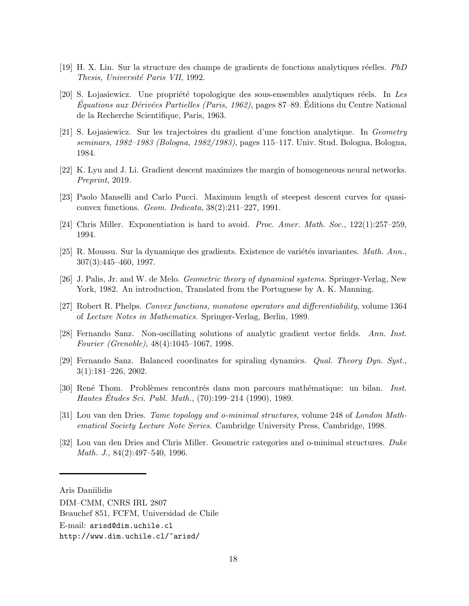- [19] H. X. Lin. Sur la structure des champs de gradients de fonctions analytiques réelles. *PhD* Thesis, Université Paris VII, 1992.
- [20] S. Lojasiewicz. Une propriété topologique des sous-ensembles analytiques réels. In Les  $Équations aux Dérivées Partielles (Paris, 1962), pages 87–89. Éditions du Centre National$ de la Recherche Scientifique, Paris, 1963.
- [21] S. Lojasiewicz. Sur les trajectoires du gradient d'une fonction analytique. In Geometry seminars, 1982–1983 (Bologna, 1982/1983), pages 115–117. Univ. Stud. Bologna, Bologna, 1984.
- [22] K. Lyu and J. Li. Gradient descent maximizes the margin of homogeneous neural networks. Preprint, 2019.
- [23] Paolo Manselli and Carlo Pucci. Maximum length of steepest descent curves for quasiconvex functions. Geom. Dedicata, 38(2):211–227, 1991.
- [24] Chris Miller. Exponentiation is hard to avoid. Proc. Amer. Math. Soc., 122(1):257–259, 1994.
- [25] R. Moussu. Sur la dynamique des gradients. Existence de variétés invariantes. Math. Ann., 307(3):445–460, 1997.
- [26] J. Palis, Jr. and W. de Melo. Geometric theory of dynamical systems. Springer-Verlag, New York, 1982. An introduction, Translated from the Portuguese by A. K. Manning.
- [27] Robert R. Phelps. Convex functions, monotone operators and differentiability, volume 1364 of Lecture Notes in Mathematics. Springer-Verlag, Berlin, 1989.
- [28] Fernando Sanz. Non-oscillating solutions of analytic gradient vector fields. Ann. Inst. Fourier (Grenoble), 48(4):1045–1067, 1998.
- [29] Fernando Sanz. Balanced coordinates for spiraling dynamics. Qual. Theory Dyn. Syst., 3(1):181–226, 2002.
- [30] René Thom. Problèmes rencontrés dans mon parcours mathématique: un bilan. Inst. Hautes Etudes Sci. Publ. Math., (70):199–214 (1990), 1989.
- [31] Lou van den Dries. Tame topology and o-minimal structures, volume 248 of London Mathematical Society Lecture Note Series. Cambridge University Press, Cambridge, 1998.
- [32] Lou van den Dries and Chris Miller. Geometric categories and o-minimal structures. Duke Math. J., 84(2):497–540, 1996.

Aris Daniilidis

DIM–CMM, CNRS IRL 2807

Beauchef 851, FCFM, Universidad de Chile

E-mail: arisd@dim.uchile.cl

http://www.dim.uchile.cl/~arisd/